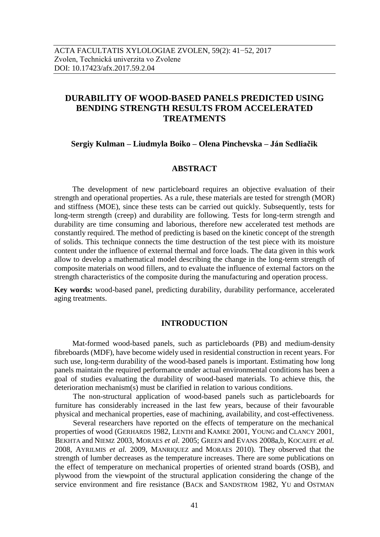# **DURABILITY OF WOOD-BASED PANELS PREDICTED USING BENDING STRENGTH RESULTS FROM ACCELERATED TREATMENTS**

## **Sergiy Kulman – Liudmyla Boiko – Olena Pinchevska – Ján Sedliačik**

## **ABSTRACT**

The development of new particleboard requires an objective evaluation of their strength and operational properties. As a rule, these materials are tested for strength (MOR) and stiffness (MOE), since these tests can be carried out quickly. Subsequently, tests for long-term strength (creep) and durability are following. Tests for long-term strength and durability are time consuming and laborious, therefore new accelerated test methods are constantly required. The method of predicting is based on the kinetic concept of the strength of solids. This technique connects the time destruction of the test piece with its moisture content under the influence of external thermal and force loads. The data given in this work allow to develop a mathematical model describing the change in the long-term strength of composite materials on wood fillers, and to evaluate the influence of external factors on the strength characteristics of the composite during the manufacturing and operation process.

**Key words:** wood-based panel, predicting durability, durability performance, accelerated aging treatments.

## **INTRODUCTION**

Mat-formed wood-based panels, such as particleboards (PB) and medium-density fibreboards (MDF), have become widely used in residential construction in recent years. For such use, long-term durability of the wood-based panels is important. Estimating how long panels maintain the required performance under actual environmental conditions has been a goal of studies evaluating the durability of wood-based materials. To achieve this, the deterioration mechanism(s) must be clarified in relation to various conditions.

The non-structural application of wood-based panels such as particleboards for furniture has considerably increased in the last few years, because of their favourable physical and mechanical properties, ease of machining, availability, and cost-effectiveness.

Several researchers have reported on the effects of temperature on the mechanical properties of wood (GERHARDS 1982, LENTH and KAMKE 2001, YOUNG and CLANCY 2001, BEKHTA and NIEMZ 2003, MORAES *et al.* 2005; GREEN and EVANS 2008a,b, KOCAEFE *et al.* 2008, AYRILMIS *et al.* 2009, MANRIQUEZ and MORAES 2010). They observed that the strength of lumber decreases as the temperature increases. There are some publications on the effect of temperature on mechanical properties of oriented strand boards (OSB), and plywood from the viewpoint of the structural application considering the change of the service environment and fire resistance (BACK and SANDSTROM 1982, YU and OSTMAN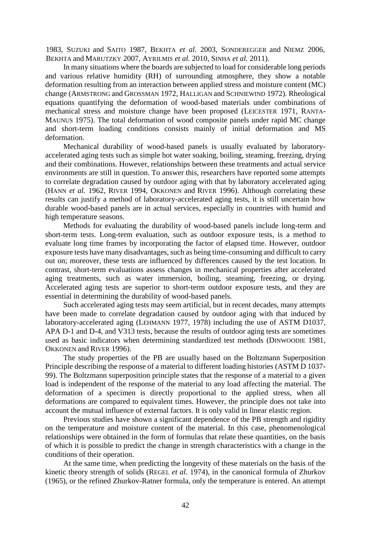1983, SUZUKI and SAITO 1987, BEKHTA *et al.* 2003, SONDEREGGER and NIEMZ 2006, BEKHTA and MARUTZKY 2007, AYRILMIS *et al.* 2010, SINHA *et al.* 2011).

In many situations where the boards are subjected to load for considerable long periods and various relative humidity (RH) of surrounding atmosphere, they show a notable deformation resulting from an interaction between applied stress and moisture content (MC) change (ARMSTRONG and GROSSMAN 1972, HALLIGAN and SCHNIEWIND 1972). Rheological equations quantifying the deformation of wood-based materials under combinations of mechanical stress and moisture change have been proposed (LEICESTER 1971, RANTA-MAUNUS 1975). The total deformation of wood composite panels under rapid MC change and short-term loading conditions consists mainly of initial deformation and MS deformation.

Mechanical durability of wood-based panels is usually evaluated by laboratoryaccelerated aging tests such as simple hot water soaking, boiling, steaming, freezing, drying and their combinations. However, relationships between these treatments and actual service environments are still in question. To answer this, researchers have reported some attempts to correlate degradation caused by outdoor aging with that by laboratory accelerated aging (HANN *et al.* 1962, RIVER 1994, OKKONEN and RIVER 1996). Although correlating these results can justify a method of laboratory-accelerated aging tests, it is still uncertain how durable wood-based panels are in actual services, especially in countries with humid and high temperature seasons.

Methods for evaluating the durability of wood-based panels include long-term and short-term tests. Long-term evaluation, such as outdoor exposure tests, is a method to evaluate long time frames by incorporating the factor of elapsed time. However, outdoor exposure tests have many disadvantages, such as being time-consuming and difficult to carry out on; moreover, these tests are influenced by differences caused by the test location. In contrast, short-term evaluations assess changes in mechanical properties after accelerated aging treatments, such as water immersion, boiling, steaming, freezing, or drying. Accelerated aging tests are superior to short-term outdoor exposure tests, and they are essential in determining the durability of wood-based panels.

Such accelerated aging tests may seem artificial, but in recent decades, many attempts have been made to correlate degradation caused by outdoor aging with that induced by laboratory-accelerated aging (LEHMANN 1977, 1978) including the use of ASTM D1037, APA D-1 and D-4, and V313 tests, because the results of outdoor aging tests are sometimes used as basic indicators when determining standardized test methods (DINWOODIE 1981, OKKONEN and RIVER 1996).

The study properties of the PB are usually based on the Boltzmann Superposition Principle describing the response of a material to different loading histories (ASTM D 1037- 99). The Boltzmann superposition principle states that the response of a material to a given load is independent of the response of the material to any load affecting the material. The deformation of a specimen is directly proportional to the applied stress, when all deformations are compared to equivalent times. However, the principle does not take into account the mutual influence of external factors. It is only valid in linear elastic region.

Previous studies have shown a significant dependence of the PB strength and rigidity on the temperature and moisture content of the material. In this case, phenomenological relationships were obtained in the form of formulas that relate these quantities, on the basis of which it is possible to predict the change in strength characteristics with a change in the conditions of their operation.

At the same time, when predicting the longevity of these materials on the basis of the kinetic theory strength of solids (REGEL *et al.* 1974), in the canonical formula of Zhurkov (1965), or the refined Zhurkov-Ratner formula, only the temperature is entered. An attempt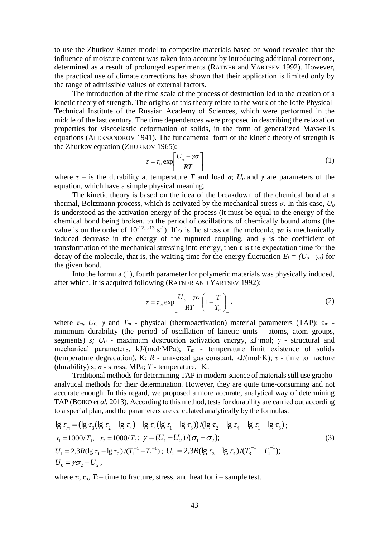to use the Zhurkov-Ratner model to composite materials based on wood revealed that the influence of moisture content was taken into account by introducing additional corrections, determined as a result of prolonged experiments (RATNER and YARTSEV 1992). However, the practical use of climate corrections has shown that their application is limited only by the range of admissible values of external factors.

The introduction of the time scale of the process of destruction led to the creation of a kinetic theory of strength. The origins of this theory relate to the work of the Ioffe Physical-Technical Institute of the Russian Academy of Sciences, which were performed in the middle of the last century. The time dependences were proposed in describing the relaxation properties for viscoelastic deformation of solids, in the form of generalized Maxwell's equations (ALEKSANDROV 1941). The fundamental form of the kinetic theory of strength is the Zhurkov equation (ZHURKOV 1965):

$$
\tau = \tau_0 \exp\left[\frac{U_0 - \gamma \sigma}{RT}\right] \tag{1}
$$

where  $\tau$  – is the durability at temperature *T* and load  $\sigma$ ;  $U_o$  and  $\gamma$  are parameters of the equation, which have a simple physical meaning.

The kinetic theory is based on the idea of the breakdown of the chemical bond at a thermal, Boltzmann process, which is activated by the mechanical stress  $\sigma$ . In this case,  $U_{\sigma}$ is understood as the activation energy of the process (it must be equal to the energy of the chemical bond being broken, to the period of oscillations of chemically bound atoms (the value is on the order of 10<sup>-12...-13</sup> s<sup>-1</sup>). If σ is the stress on the molecule, *γσ* is mechanically induced decrease in the energy of the ruptured coupling, and  $\gamma$  is the coefficient of transformation of the mechanical stressing into energy, then  $\tau$  is the expectation time for the decay of the molecule, that is, the waiting time for the energy fluctuation  $E_f = (U_o - \gamma_o)$  for the given bond.

Into the formula (1), fourth parameter for polymeric materials was physically induced, after which, it is acquired following (RATNER AND YARTSEV 1992):

$$
\tau = \tau_m \exp\left[\frac{U_o - \gamma \sigma}{RT} \left(1 - \frac{T}{T_m}\right)\right],\tag{2}
$$

where  $\tau_m$ ,  $U_0$ ,  $\gamma$  and  $T_m$  - physical (thermoactivation) material parameters (TAP):  $\tau_m$  minimum durability (the period of oscillation of kinetic units - atoms, atom groups, segments) *s; U<sup>0</sup>* - maximum destruction activation energy, kJ·mol; *γ* - structural and mechanical parameters,  $kJ/(mol·MPa)$ ;  $T_m$  - temperature limit existence of solids (temperature degradation), K; *R* - universal gas constant, kJ/(mol·K); *τ* - time to fracture (durability) s;  $\sigma$  - stress, MPa; *T* - temperature,  $\mathrm{K}$ .

Traditional methods for determining TAP in modern science of materials still use graphoanalytical methods for their determination. However, they are quite time-consuming and not accurate enough. In this regard, we proposed a more accurate, analytical way of determining TAP (BOIKO *et al.* 2013). According to this method, tests for durability are carried out according to a special plan, and the parameters are calculated analytically by the formulas:

$$
\lg \tau_m = (\lg \tau_3 (\lg \tau_2 - \lg \tau_4) - \lg \tau_4 (\lg \tau_1 - \lg \tau_3)) / (\lg \tau_2 - \lg \tau_4 - \lg \tau_1 + \lg \tau_3);
$$
  
\n
$$
x_1 = 1000/T_1, \quad x_2 = 1000/T_2; \quad \gamma = (U_1 - U_2) / (\sigma_1 - \sigma_2);
$$
  
\n
$$
U_1 = 2.3R (\lg \tau_1 - \lg \tau_2) / (T_1^{-1} - T_2^{-1}); \quad U_2 = 2.3R (\lg \tau_3 - \lg \tau_4) / (T_3^{-1} - T_4^{-1});
$$
  
\n
$$
U_0 = \gamma \sigma_2 + U_2,
$$
\n(3)

where  $\tau_i$ ,  $\sigma_i$ ,  $T_i$  – time to fracture, stress, and heat for  $i$  – sample test.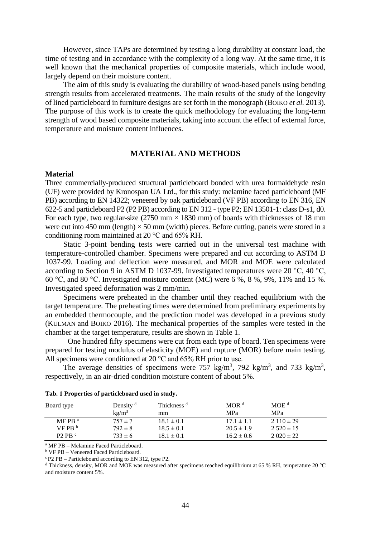However, since TAPs are determined by testing a long durability at constant load, the time of testing and in accordance with the complexity of a long way. At the same time, it is well known that the mechanical properties of composite materials, which include wood, largely depend on their moisture content.

The aim of this study is evaluating the durability of wood-based panels using bending strength results from accelerated treatments. The main results of the study of the longevity of lined particleboard in furniture designs are set forth in the monograph (BOIKO *et al.* 2013). The purpose of this work is to create the quick methodology for evaluating the long-term strength of wood based composite materials, taking into account the effect of external force, temperature and moisture content influences.

# **MATERIAL AND METHODS**

#### **Material**

Three commercially-produced structural particleboard bonded with urea formaldehyde resin (UF) were provided by Kronospan UA Ltd., for this study: melamine faced particleboard (MF PB) according to EN 14322; veneered by oak particleboard (VF PB) according to EN 316, EN 622-5 and particleboard P2 (P2 PB) according to EN 312 - type P2; EN 13501-1: class D-s1, d0. For each type, two regular-size  $(2750 \text{ mm} \times 1830 \text{ mm})$  of boards with thicknesses of 18 mm were cut into 450 mm (length)  $\times$  50 mm (width) pieces. Before cutting, panels were stored in a conditioning room maintained at 20 °C and 65% RH.

Static 3-point bending tests were carried out in the universal test machine with temperature-controlled chamber. Specimens were prepared and cut according to ASTM D 1037-99. Loading and deflection were measured, and MOR and MOE were calculated according to Section 9 in ASTM D 1037-99. Investigated temperatures were 20 °C, 40 °C, 60 °C, and 80 °C. Investigated moisture content (MC) were 6 %, 8 %, 9%, 11% and 15 %. Investigated speed deformation was 2 mm/min.

Specimens were preheated in the chamber until they reached equilibrium with the target temperature. The preheating times were determined from preliminary experiments by an embedded thermocouple, and the prediction model was developed in a previous study (KULMAN and BOIKO 2016). The mechanical properties of the samples were tested in the chamber at the target temperature, results are shown in Table 1.

One hundred fifty specimens were cut from each type of board. Ten specimens were prepared for testing modulus of elasticity (MOE) and rupture (MOR) before main testing. All specimens were conditioned at 20 °C and 65% RH prior to use.

The average densities of specimens were 757 kg/m<sup>3</sup>, 792 kg/m<sup>3</sup>, and 733 kg/m<sup>3</sup>, respectively, in an air-dried condition moisture content of about 5%.

| Board type        | Density $d$<br>kg/m <sup>3</sup> | Thickness <sup>d</sup><br>mm | MOR <sup>d</sup><br><b>MPa</b> | MOE <sup>d</sup><br><b>MPa</b> |
|-------------------|----------------------------------|------------------------------|--------------------------------|--------------------------------|
| $MF$ PB $a$       | $757 \pm 7$                      | $18.1 \pm 0.1$               | $17.1 \pm 1.1$                 | $2110 \pm 29$                  |
| VFPR <sup>b</sup> | $792 \pm 8$                      | $18.5 \pm 0.1$               | $20.5 \pm 1.9$                 | $2.520 \pm 15$                 |
| $P2$ PB $c$       | $733 \pm 6$                      | $18.1 \pm 0.1$               | $16.2 \pm 0.6$                 | $2.020 \pm 22$                 |

|  |  | Tab. 1 Properties of particleboard used in study. |  |  |
|--|--|---------------------------------------------------|--|--|
|  |  |                                                   |  |  |

<sup>a</sup> MF PB – Melamine Faced Particleboard.

<sup>b</sup> VF PB – Veneered Faced Particleboard.

 $c$  P2 PB – Particleboard according to EN 312, type P2.

<sup>d</sup> Thickness, density, MOR and MOE was measured after specimens reached equilibrium at 65 % RH, temperature 20 °C and moisture content 5%.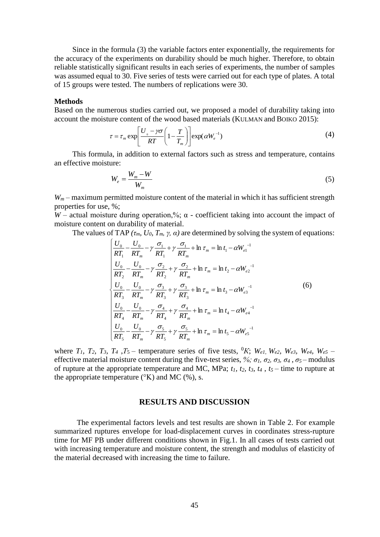Since in the formula (3) the variable factors enter exponentially, the requirements for the accuracy of the experiments on durability should be much higher. Therefore, to obtain reliable statistically significant results in each series of experiments, the number of samples was assumed equal to 30. Five series of tests were carried out for each type of plates. A total of 15 groups were tested. The numbers of replications were 30.

#### **Methods**

Based on the numerous studies carried out, we proposed a model of durability taking into account the moisture content of the wood based materials (KULMAN and BOIKO 2015):

$$
\tau = \tau_m \exp\left[\frac{U_o - \gamma \sigma}{RT} \left(1 - \frac{T}{T_m}\right)\right] \exp(\alpha W_e^{-1})
$$
\n(4)

This formula, in addition to external factors such as stress and temperature, contains an effective moisture:

$$
W_e = \frac{W_m - W}{W_m} \tag{5}
$$

*W<sup>m</sup>* – maximum permitted moisture content of the material in which it has sufficient strength properties for use, %;

*W* – actual moisture during operation,%;  $\alpha$  - coefficient taking into account the impact of moisture content on durability of material.

The values of TAP  $(\tau_m, U_0, T_m, \gamma, \alpha)$  are determined by solving the system of equations:

$$
\begin{cases}\n\frac{U_{0}}{RT_{1}} - \frac{U_{0}}{RT_{m}} - \gamma \frac{\sigma_{1}}{RT_{1}} + \gamma \frac{\sigma_{1}}{RT_{m}} + \ln \tau_{m} = \ln t_{1} - \alpha W_{e1}^{-1} \\
\frac{U_{0}}{RT_{2}} - \frac{U_{0}}{RT_{m}} - \gamma \frac{\sigma_{2}}{RT_{2}} + \gamma \frac{\sigma_{2}}{RT_{m}} + \ln \tau_{m} = \ln t_{2} - \alpha W_{e2}^{-1} \\
\frac{U_{0}}{RT_{3}} - \frac{U_{0}}{RT_{m}} - \gamma \frac{\sigma_{3}}{RT_{3}} + \gamma \frac{\sigma_{3}}{RT_{3}} + \ln \tau_{m} = \ln t_{3} - \alpha W_{e3}^{-1} \\
\frac{U_{0}}{RT_{4}} - \frac{U_{0}}{RT_{m}} - \gamma \frac{\sigma_{4}}{RT_{4}} + \gamma \frac{\sigma_{4}}{RT_{m}} + \ln \tau_{m} = \ln t_{4} - \alpha W_{e4}^{-1} \\
\frac{U_{0}}{RT_{5}} - \frac{U_{0}}{RT_{m}} - \gamma \frac{\sigma_{5}}{RT_{5}} + \gamma \frac{\sigma_{5}}{RT_{m}} + \ln \tau_{m} = \ln t_{5} - \alpha W_{e5}^{-1}\n\end{cases} (6)
$$

where  $T_1$ ,  $T_2$ ,  $T_3$ ,  $T_4$ ,  $T_5$  – temperature series of five tests, <sup>0</sup>K; W<sub>el</sub>, W<sub>el</sub>, W<sub>e</sub>, W<sub>e</sub>, W<sub>e</sub>, W<sub>es</sub> – effective material moisture content during the five-test series,  $\%$ *;*  $\sigma_1$ *,*  $\sigma_2$ *,*  $\sigma_3$ *,*  $\sigma_4$ *,*  $\sigma_5$ –modulus of rupture at the appropriate temperature and MC, MPa;  $t_1$ ,  $t_2$ ,  $t_3$ ,  $t_4$ ,  $t_5$  – time to rupture at the appropriate temperature  $({}^{\circ}K)$  and MC  $({}^{\circ}b)$ , s.

# **RESULTS AND DISCUSSION**

The experimental factors levels and test results are shown in Table 2. For example summarized ruptures envelope for load-displacement curves in coordinates stress-rupture time for MF PB under different conditions shown in Fig.1. In all cases of tests carried out with increasing temperature and moisture content, the strength and modulus of elasticity of the material decreased with increasing the time to failure.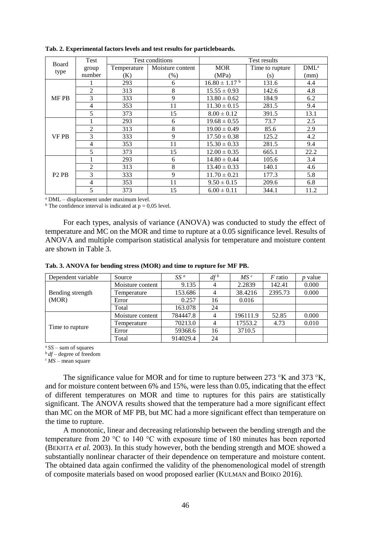| Test<br>Board                 |                |             | Test conditions  | Test results                 |                 |                  |  |
|-------------------------------|----------------|-------------|------------------|------------------------------|-----------------|------------------|--|
|                               | group          | Temperature | Moisture content | <b>MOR</b>                   | Time to rupture | DML <sup>a</sup> |  |
| type                          | number         | (K)         | (% )             | (MPa)                        | (s)             | (mm)             |  |
|                               |                | 293         | 6                | $16.80 \pm 1.17^{\text{ b}}$ | 131.6           | 4.4              |  |
|                               | $\overline{2}$ | 313         | 8                | $15.55 \pm 0.93$             | 142.6           | 4.8              |  |
| <b>MF PB</b>                  | 3              | 333         | 9                | $13.80 \pm 0.62$             | 184.9           | 6.2              |  |
|                               | $\overline{4}$ | 353         | 11               | $11.30 \pm 0.15$             | 281.5           | 9.4              |  |
|                               | 5              | 373         | 15               | $8.00 \pm 0.12$              | 391.5           | 13.1             |  |
|                               |                | 293         | 6                | $19.68 \pm 0.55$             | 73.7            | 2.5              |  |
|                               | $\overline{2}$ | 313         | 8                | $19.00 \pm 0.49$             | 85.6            | 2.9              |  |
| <b>VF PB</b>                  | 3              | 333         | 9                | $17.50 \pm 0.38$             | 125.2           | 4.2              |  |
|                               | 4              | 353         | 11               | $15.30 \pm 0.33$             | 281.5           | 9.4              |  |
|                               | 5              | 373         | 15               | $12.00 \pm 0.35$             | 665.1           | 22.2             |  |
|                               |                | 293         | 6                | $14.80 \pm 0.44$             | 105.6           | 3.4              |  |
|                               | $\overline{2}$ | 313         | 8                | $13.40 \pm 0.33$             | 140.1           | 4.6              |  |
| P <sub>2</sub> P <sub>B</sub> | 3              | 333         | 9                | $11.70 \pm 0.21$             | 177.3           | 5.8              |  |
|                               | $\overline{4}$ | 353         | 11               | $9.50 \pm 0.15$              | 209.6           | 6.8              |  |
|                               | 5              | 373         | 15               | $6.00 \pm 0.11$              | 344.1           | 11.2             |  |

**Tab. 2. Experimental factors levels and test results for particleboards.**

<sup>a</sup> DML – displacement under maximum level.

<sup>b</sup> The confidence interval is indicated at  $p = 0.05$  level.

For each types, analysis of variance (ANOVA) was conducted to study the effect of temperature and MC on the MOR and time to rupture at a 0.05 significance level. Results of ANOVA and multiple comparison statistical analysis for temperature and moisture content are shown in Table 3.

| Tab. 3. ANOVA for bending stress (MOR) and time to rupture for MF PB. |
|-----------------------------------------------------------------------|
|-----------------------------------------------------------------------|

| Dependent variable        | Source           | $SS^a$   | $df^b$         | MS <sup>c</sup> | <i>F</i> ratio | <i>p</i> value |
|---------------------------|------------------|----------|----------------|-----------------|----------------|----------------|
|                           | Moisture content | 9.135    | 4              | 2.2839          | 142.41         | 0.000          |
| Bending strength<br>(MOR) | Temperature      | 153.686  | 4              | 38.4216         | 2395.73        | 0.000          |
|                           | Error            | 0.257    | 16             | 0.016           |                |                |
|                           | Total            | 163.078  | 24             |                 |                |                |
|                           | Moisture content | 784447.8 | 4              | 196111.9        | 52.85          | 0.000          |
|                           | Temperature      | 70213.0  | $\overline{4}$ | 17553.2         | 4.73           | 0.010          |
| Time to rupture           | Error            | 59368.6  | 16             | 3710.5          |                |                |
|                           | Total            | 914029.4 | 24             |                 |                |                |

<sup>a</sup>*SS* – sum of squares

<sup>b</sup>*df* – degree of freedom

 $c$ *MS* – mean square

The significance value for MOR and for time to rupture between 273 °K and 373 °K*,* and for moisture content between 6% and 15%, were less than 0.05, indicating that the effect of different temperatures on MOR and time to ruptures for this pairs are statistically significant. The ANOVA results showed that the temperature had a more significant effect than MC on the MOR of MF PB, but MC had a more significant effect than temperature on the time to rupture.

A monotonic, linear and decreasing relationship between the bending strength and the temperature from 20 °C to 140 °C with exposure time of 180 minutes has been reported (BEKHTA *et al.* 2003). In this study however, both the bending strength and MOE showed a substantially nonlinear character of their dependence on temperature and moisture content. The obtained data again confirmed the validity of the phenomenological model of strength of composite materials based on wood proposed earlier (KULMAN and BOIKO 2016).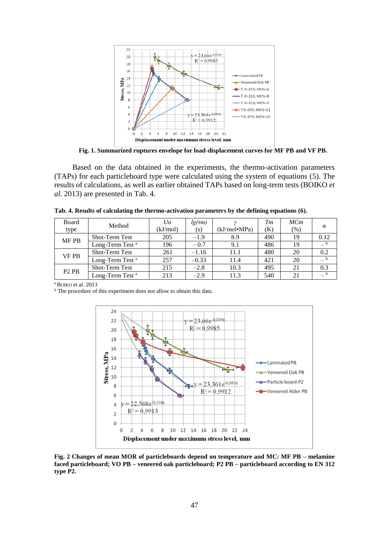

**Fig. 1. Summarized ruptures envelope for load-displacement curves for MF PB and VF PB.**

Based on the data obtained in the experiments, the thermo-activation parameters (TAPs) for each particleboard type were calculated using the system of equations (5). The results of calculations, as well as earlier obtained TAPs based on long-term tests (BOIKO *et al.* 2013) are presented in Tab. 4.

| Tab. 4. Results of calculating the thermo-activation parameters by the defining equations (6). |  |  |
|------------------------------------------------------------------------------------------------|--|--|
|                                                                                                |  |  |

| Board                         | Method                      | Uo       | $lg(\tau m)$ |              | Tm  | MCm    |          |
|-------------------------------|-----------------------------|----------|--------------|--------------|-----|--------|----------|
| type                          |                             | (kJ/mol) | (s)          | (kJ/mol•MPa) | (K) | $(\%)$ | $\alpha$ |
| <b>MF PB</b>                  | <b>Shot-Term Test</b>       | 205      | $-1.9$       | 8.9          | 490 | 19     | 0.12     |
|                               | Long-Term Test <sup>a</sup> | 196      | $-0.7$       | 9.1          | 486 | 19     |          |
| <b>VF PB</b>                  | <b>Shot-Term Test</b>       | 261      | $-1.16$      | 11.1         | 480 | 20     | 0.2      |
|                               | Long-Term Test <sup>a</sup> | 257      | $-0.33$      | 11.4         | 421 | 20     |          |
| P <sub>2</sub> P <sub>B</sub> | <b>Shot-Term Test</b>       | 215      | $-2.8$       | 10.3         | 495 | 21     | 0.3      |
|                               | Long-Term Test <sup>a</sup> | 213      | $-2.9$       | 11.3         | 540 | 21     |          |

<sup>a</sup> BOIKO et al. 2013

<sup>b</sup> The procedure of this experiment does not allow to obtain this data.



**Fig. 2 Changes of mean MOR of particleboards depend on temperature and MC: MF PB – melamine faced particleboard; VO PB – veneered oak particleboard; P2 PB – particleboard according to EN 312 type P2.**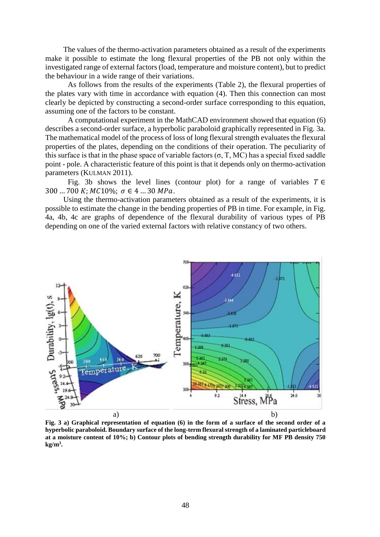The values of the thermo-activation parameters obtained as a result of the experiments make it possible to estimate the long flexural properties of the PB not only within the investigated range of external factors (load, temperature and moisture content), but to predict the behaviour in a wide range of their variations.

As follows from the results of the experiments (Table 2), the flexural properties of the plates vary with time in accordance with equation (4). Then this connection can most clearly be depicted by constructing a second-order surface corresponding to this equation, assuming one of the factors to be constant.

A computational experiment in the MathCAD environment showed that equation (6) describes a second-order surface, a hyperbolic paraboloid graphically represented in Fig. 3a. The mathematical model of the process of loss of long flexural strength evaluates the flexural properties of the plates, depending on the conditions of their operation. The peculiarity of this surface is that in the phase space of variable factors  $(\sigma, T, MC)$  has a special fixed saddle point - pole. A characteristic feature of this point is that it depends only on thermo-activation parameters (KULMAN 2011).

Fig. 3b shows the level lines (contour plot) for a range of variables  $T \in$ 300 ... 700 K;  $MC10\%$ ;  $\sigma \in 4$  ... 30 MPa.

Using the thermo-activation parameters obtained as a result of the experiments, it is possible to estimate the change in the bending properties of PB in time. For example, in Fig. 4a, 4b, 4c are graphs of dependence of the flexural durability of various types of PB depending on one of the varied external factors with relative constancy of two others.



**Fig. 3 a) Graphical representation of equation (6) in the form of a surface of the second order of a hyperbolic paraboloid. Boundary surface of the long-term flexural strength of a laminated particleboard at a moisture content of 10%; b) Contour plots of bending strength durability for MF PB density 750 kg/m<sup>3</sup> .**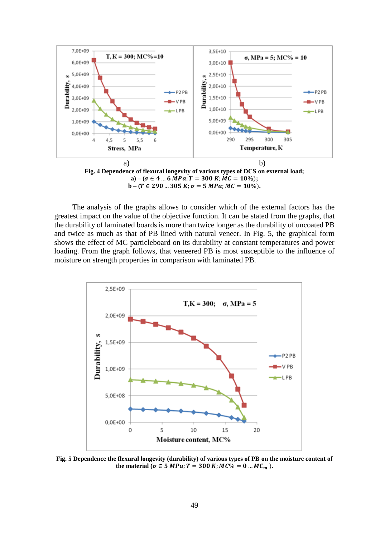

 $\mathbf{b} - (\mathbf{T} \in 290 \dots 305 \mathbf{K}; \sigma = 5 \mathbf{M} \mathbf{P} \mathbf{a}; \mathbf{M} \mathbf{C} = \mathbf{10} \%).$ 

The analysis of the graphs allows to consider which of the external factors has the greatest impact on the value of the objective function. It can be stated from the graphs, that the durability of laminated boards is more than twice longer as the durability of uncoated PB and twice as much as that of PB lined with natural veneer. In Fig. 5, the graphical form shows the effect of MC particleboard on its durability at constant temperatures and power loading. From the graph follows, that veneered PB is most susceptible to the influence of moisture on strength properties in comparison with laminated PB.



**Fig. 5 Dependence the flexural longevity (durability) of various types of PB on the moisture content of the material**  $(\sigma \in 5 \text{ MPa}; T = 300 \text{ K}; MC\% = 0 \text{ ... } MC_m).$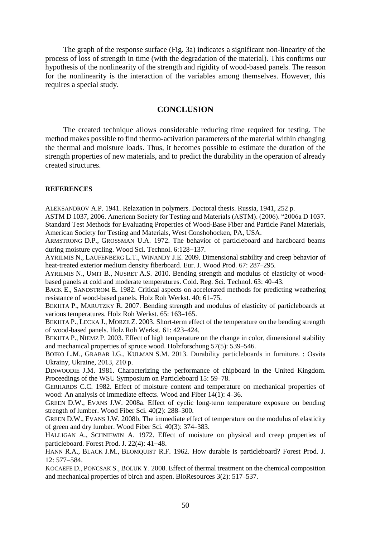The graph of the response surface (Fig. 3a) indicates a significant non-linearity of the process of loss of strength in time (with the degradation of the material). This confirms our hypothesis of the nonlinearity of the strength and rigidity of wood-based panels. The reason for the nonlinearity is the interaction of the variables among themselves. However, this requires a special study.

# **CONCLUSION**

The created technique allows considerable reducing time required for testing. The method makes possible to find thermo-activation parameters of the material within changing the thermal and moisture loads. Thus, it becomes possible to estimate the duration of the strength properties of new materials, and to predict the durability in the operation of already created structures.

### **REFERENCES**

ALEKSANDROV A.P. 1941. Relaxation in polymers. Doctoral thesis. Russia, 1941, 252 p.

ASTM D 1037, 2006. American Society for Testing and Materials (ASTM). (2006). "2006a D 1037. Standard Test Methods for Evaluating Properties of Wood-Base Fiber and Particle Panel Materials, American Society for Testing and Materials, West Conshohocken, PA, USA.

ARMSTRONG D.P., GROSSMAN U.A. 1972. The behavior of particleboard and hardboard beams during moisture cycling. Wood Sci. Technol.  $6:128-137$ .

AYRILMIS N., LAUFENBERG L.T., WINANDY J.E. 2009. Dimensional stability and creep behavior of heat-treated exterior medium density fiberboard. Eur. J. Wood Prod. 67: 287-295.

AYRILMIS N., UMIT B., NUSRET A.S. 2010. Bending strength and modulus of elasticity of woodbased panels at cold and moderate temperatures. Cold. Reg. Sci. Technol. 63: 40-43.

BACK E., SANDSTROM E. 1982. Critical aspects on accelerated methods for predicting weathering resistance of wood-based panels. Holz Roh Werkst. 40: 61–75.

BEKHTA P., MARUTZKY R. 2007. Bending strength and modulus of elasticity of particleboards at various temperatures. Holz Roh Werkst. 65: 163-165.

BEKHTA P., LECKA J., MORZE Z. 2003. Short-term effect of the temperature on the bending strength of wood-based panels. Holz Roh Werkst. 61: 423-424.

BEKHTA P., NIEMZ P. 2003. Effect of high temperature on the change in color, dimensional stability and mechanical properties of spruce wood. Holzforschung  $57(5)$ :  $539-546$ .

BOIKO L.M., GRABAR I.G., KULMAN S.M. 2013. [Durability particleboards in furniture.](https://www.academia.edu/30917395/DURABILITY_PARTICLEBOARDS_IN_FURNITURE) : Osvita Ukrainy, Ukraine, 2013, 210 p.

DINWOODIE J.M. 1981. Characterizing the performance of chipboard in the United Kingdom. Proceedings of the WSU Symposium on Particleboard 15: 59–78.

GERHARDS C.C. 1982. Effect of moisture content and temperature on mechanical properties of wood: An analysis of immediate effects. Wood and Fiber  $14(1)$ : 4–36.

GREEN D.W., EVANS J.W. 2008a. Effect of cyclic long-term temperature exposure on bending strength of lumber. Wood Fiber Sci. 40(2): 288–300.

GREEN D.W., EVANS J.W. 2008b. The immediate effect of temperature on the modulus of elasticity of green and dry lumber. Wood Fiber Sci. 40(3): 374-383.

HALLIGAN A., SCHNIEWIN A. 1972. Effect of moisture on physical and creep properties of particleboard. Forest Prod. J.  $22(4)$ :  $41-48$ .

HANN R.A., BLACK J.M., BLOMQUIST R.F. 1962. How durable is particleboard? Forest Prod. J.  $12: 577 - 584.$ 

KOCAEFE D., PONCSAK S., BOLUK Y. 2008. Effect of thermal treatment on the chemical composition and mechanical properties of birch and aspen. BioResources  $3(2)$ :  $517-537$ .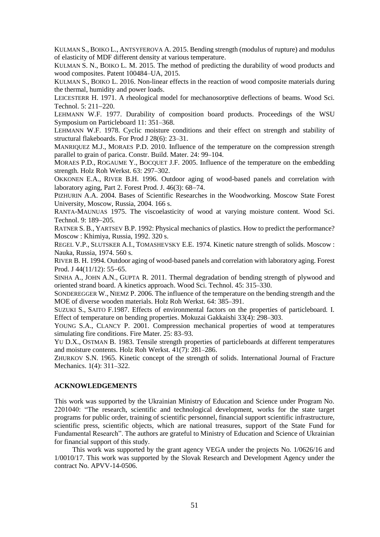KULMAN S., BOIKO L., ANTSYFEROVA A. 2015. Bending strength (modulus of rupture) and modulus of elasticity of MDF different density at various temperature.

KULMAN S. N., BOIKO L. M. 2015. The method of predicting the durability of wood products and wood composites. Patent 100484–UA, 2015.

KULMAN S., BOIKO L. 2016. Non-linear effects in the reaction of wood composite materials during the thermal, humidity and power loads.

LEICESTERR H. 1971. A rheological model for mechanosorptive deflections of beams. Wood Sci. Technol. 5: 211-220.

LEHMANN W.F. 1977. Durability of composition board products. Proceedings of the WSU Symposium on Particleboard 11: 351–368.

LEHMANN W.F. 1978. Cyclic moisture conditions and their effect on strength and stability of structural flakeboards. For Prod J 28(6): 23–31.

MANRIQUEZ M.J., MORAES P.D. 2010. Influence of the temperature on the compression strength parallel to grain of parica. Constr. Build. Mater. 24: 99–104.

MORAES P.D., ROGAUME Y., BOCQUET J.F. 2005. Influence of the temperature on the embedding strength. Holz Roh Werkst. 63: 297-302.

OKKONEN E.A., RIVER B.H. 1996. Outdoor aging of wood-based panels and correlation with laboratory aging, Part 2. Forest Prod. J.  $46(3)$ :  $68-74$ .

PIZHURIN A.A. 2004. Bases of Scientific Researches in the Woodworking. Moscow State Forest University, Moscow, Russia, 2004. 166 s.

RANTA-MAUNUAS 1975. The viscoelasticity of wood at varying moisture content. Wood Sci. Technol. 9: 189-205.

RATNER S. B., YARTSEV B.P. 1992: Physical mechanics of plastics. How to predict the performance? Moscow : Khimiya, Russia, 1992. 320 s.

REGEL V.P., SLUTSKER A.I., TOMASHEVSKY E.E. 1974. Kinetic nature strength of solids. Moscow : Nauka, Russia, 1974. 560 s.

RIVER B. H. 1994. Outdoor aging of wood-based panels and correlation with laboratory aging. Forest Prod. J  $44(11/12)$ : 55-65.

SINHA A., JOHN A.N., GUPTA R. 2011. Thermal degradation of bending strength of plywood and oriented strand board. A kinetics approach. Wood Sci. Technol. 45: 315-330.

SONDEREGGER W., NIEMZ P. 2006. The influence of the temperature on the bending strength and the MOE of diverse wooden materials. Holz Roh Werkst. 64: 385-391.

SUZUKI S., SAITO F.1987. Effects of environmental factors on the properties of particleboard. I. Effect of temperature on bending properties. Mokuzai Gakkaishi 33(4): 298–303.

YOUNG S.A., CLANCY P. 2001. Compression mechanical properties of wood at temperatures simulating fire conditions. Fire Mater. 25: 83–93.

YU D.X., OSTMAN B. 1983. Tensile strength properties of particleboards at different temperatures and moisture contents. Holz Roh Werkst. 41(7): 281-286.

ZHURKOV S.N. 1965. Kinetic concept of the strength of solids. International Journal of Fracture Mechanics. 1(4): 311-322.

#### **ACKNOWLEDGEMENTS**

This work was supported by the Ukrainian Ministry of Education and Science under Program No. 2201040: "The research, scientific and technological development, works for the state target programs for public order, training of scientific personnel, financial support scientific infrastructure, scientific press, scientific objects, which are national treasures, support of the State Fund for Fundamental Research". The authors are grateful to Ministry of Education and Science of Ukrainian for financial support of this study.

This work was supported by the grant agency VEGA under the projects No. 1/0626/16 and 1/0010/17. This work was supported by the Slovak Research and Development Agency under the contract No. APVV-14-0506.